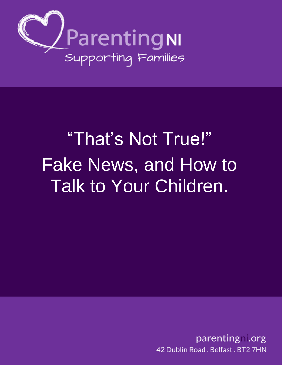

# **Prafted Avair And True!" Parental Consultations on E Early Interve**, and Transformation **Programme Board Works** Fake News, and How to **in**  Talk to Your Children.

parenting .org 42 Dublin Road, Belfast, BT2 7HN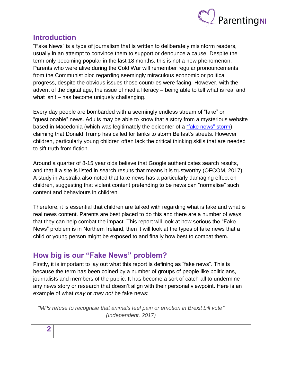

## **Introduction**

"Fake News" is a type of journalism that is written to deliberately misinform readers, usually in an attempt to convince them to support or denounce a cause. Despite the term only becoming popular in the last 18 months, this is not a new phenomenon. Parents who were alive during the Cold War will remember regular pronouncements from the Communist bloc regarding seemingly miraculous economic or political progress, despite the obvious issues those countries were facing. However, with the advent of the digital age, the issue of media literacy – being able to tell what is real and what isn't – has become uniquely challenging.

Every day people are bombarded with a seemingly endless stream of "fake" or "questionable" news. Adults may be able to know that a story from a mysterious website based in Macedonia (which was legitimately the epicenter of a ["fake news" storm\)](http://www.bbc.co.uk/news/magazine-38168281) claiming that Donald Trump has called for tanks to storm Belfast's streets. However children, particularly young children often lack the critical thinking skills that are needed to sift truth from fiction.

Around a quarter of 8-15 year olds believe that Google authenticates search results, and that if a site is listed in search results that means it is trustworthy (OFCOM, 2017). A study in Australia also noted that fake news has a particularly damaging effect on children, suggesting that violent content pretending to be news can "normalise" such content and behaviours in children.

Therefore, it is essential that children are talked with regarding what is fake and what is real news content. Parents are best placed to do this and there are a number of ways that they can help combat the impact. This report will look at how serious the "Fake News" problem is in Northern Ireland, then it will look at the types of fake news that a child or young person might be exposed to and finally how best to combat them.

## **How big is our "Fake News" problem?**

Firstly, it is important to lay out what this report is defining as "fake news". This is because the term has been coined by a number of groups of people like politicians, journalists and members of the public. It has become a sort of catch-all to undermine any news story or research that doesn't align with their personal viewpoint. Here is an example of what *may* or *may not* be fake news:

*"MPs refuse to recognise that animals feel pain or emotion in Brexit bill vote" (Independent, 2017)*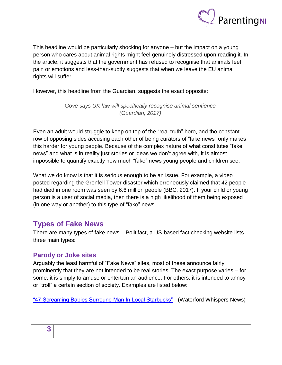

This headline would be particularly shocking for anyone – but the impact on a young person who cares about animal rights might feel genuinely distressed upon reading it. In the article, it suggests that the government has refused to recognise that animals feel pain or emotions and less-than-subtly suggests that when we leave the EU animal rights will suffer.

However, this headline from the Guardian, suggests the exact opposite:

*Gove says UK law will specifically recognise animal sentience (Guardian, 2017)*

Even an adult would struggle to keep on top of the "real truth" here, and the constant row of opposing sides accusing each other of being curators of "fake news" only makes this harder for young people. Because of the complex nature of what constitutes "fake news" and what is in reality just stories or ideas we don't agree with, it is almost impossible to quantify exactly how much "fake" news young people and children see.

What we do know is that it is serious enough to be an issue. For example, a video posted regarding the Grenfell Tower disaster which erroneously claimed that 42 people had died in one room was seen by 6.6 million people (BBC, 2017). If your child or young person is a user of social media, then there is a high likelihood of them being exposed (in one way or another) to this type of "fake" news.

## **Types of Fake News**

There are many types of fake news – Politifact, a US-based fact checking website lists three main types:

#### **Parody or Joke sites**

Arguably the least harmful of "Fake News" sites, most of these announce fairly prominently that they are not intended to be real stories. The exact purpose varies – for some, it is simply to amuse or entertain an audience. For others, it is intended to annoy or "troll" a certain section of society. Examples are listed below:

["47 Screaming Babies Surround Man In Local Starbucks"](http://waterfordwhispersnews.com/2018/02/07/47-screaming-babies-surround-man-in-local-starbucks/) - (Waterford Whispers News)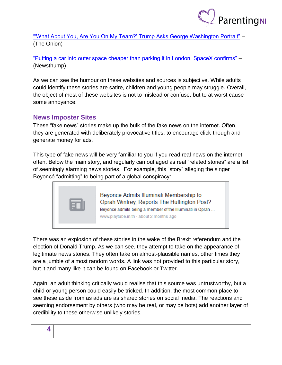

["'What About You, Are You On My Team?' Trump Asks George Washington Portrait"](https://politics.theonion.com/what-about-you-are-you-on-my-team-trump-asks-george-w-1822658745) – (The Onion)

["Putting a car into outer space cheaper than parking it in London, SpaceX confirms"](http://newsthump.com/2018/02/07/putting-a-car-into-outer-space-cheaper-than-parking-it-in-london-spacex-confirms/) – (Newsthump)

As we can see the humour on these websites and sources is subjective. While adults could identify these stories are satire, children and young people may struggle. Overall, the object of most of these websites is not to mislead or confuse, but to at worst cause some annoyance.

#### **News Imposter Sites**

These "fake news" stories make up the bulk of the fake news on the internet. Often, they are generated with deliberately provocative titles, to encourage click-though and generate money for ads.

This type of fake news will be very familiar to you if you read real news on the internet often. Below the main story, and regularly camouflaged as real "related stories" are a list of seemingly alarming news stories. For example, this "story" alleging the singer Beyoncé "admitting" to being part of a global conspiracy:



There was an explosion of these stories in the wake of the Brexit referendum and the election of Donald Trump. As we can see, they attempt to take on the appearance of legitimate news stories. They often take on almost-plausible names, other times they are a jumble of almost random words. A link was not provided to this particular story, but it and many like it can be found on Facebook or Twitter.

Again, an adult thinking critically would realise that this source was untrustworthy, but a child or young person could easily be tricked. In addition, the most common place to see these aside from as ads are as shared stories on social media. The reactions and seeming endorsement by others (who may be real, or may be bots) add another layer of credibility to these otherwise unlikely stories.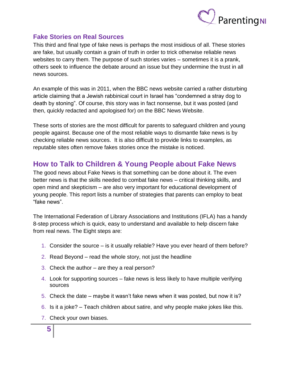

#### **Fake Stories on Real Sources**

This third and final type of fake news is perhaps the most insidious of all. These stories are fake, but usually contain a grain of truth in order to trick otherwise reliable news websites to carry them. The purpose of such stories varies – sometimes it is a prank, others seek to influence the debate around an issue but they undermine the trust in all news sources.

An example of this was in 2011, when the BBC news website carried a rather disturbing article claiming that a Jewish rabbinical court in Israel has "condemned a stray dog to death by stoning". Of course, this story was in fact nonsense, but it was posted (and then, quickly redacted and apologised for) on the BBC News Website.

These sorts of stories are the most difficult for parents to safeguard children and young people against. Because one of the most reliable ways to dismantle fake news is by checking reliable news sources. It is also difficult to provide links to examples, as reputable sites often remove fakes stories once the mistake is noticed.

## **How to Talk to Children & Young People about Fake News**

The good news about Fake News is that something can be done about it. The even better news is that the skills needed to combat fake news – critical thinking skills, and open mind and skepticism – are also very important for educational development of young people. This report lists a number of strategies that parents can employ to beat "fake news".

The International Federation of Library Associations and Institutions (IFLA) has a handy 8-step process which is quick, easy to understand and available to help discern fake from real news. The Eight steps are:

- 1. Consider the source is it usually reliable? Have you ever heard of them before?
- 2. Read Beyond read the whole story, not just the headline
- 3. Check the author  $-$  are they a real person?
- 4. Look for supporting sources fake news is less likely to have multiple verifying sources
- 5. Check the date maybe it wasn't fake news when it was posted, but now it is?
- 6. Is it a joke? Teach children about satire, and why people make jokes like this.
- 7. Check your own biases.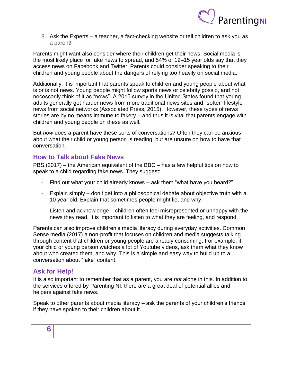

8. Ask the Experts – a teacher, a fact-checking website or tell children to ask you as a parent!

Parents might want also consider where their children get their news. Social media is the most likely place for fake news to spread, and 54% of 12–15 year olds say that they access news on Facebook and Twitter. Parents could consider speaking to their children and young people about the dangers of relying too heavily on social media.

Additionally, it is important that parents speak to children and young people about what is or is not news. Young people might follow sports news or celebrity gossip, and not necessarily think of it as "news". A 2015 survey in the United States found that young adults generally get harder news from more traditional news sites and "softer" lifestyle news from social networks (Associated Press, 2015). However, these types of news stories are by no means immune to fakery – and thus it is vital that parents engage with children and young people on these as well.

But *how* does a parent have these sorts of conversations? Often they can be anxious about what their child or young person is reading, but are unsure on how to have that conversation.

#### **How to Talk about Fake News**

PBS (2017) – the American equivalent of the BBC – has a few helpful tips on how to speak to a child regarding fake news. They suggest:

- Find out what your child already knows ask them "what have you heard?"
- Explain simply don't get into a philosophical debate about objective truth with a 10 year old. Explain that sometimes people might lie, and why.
- Listen and acknowledge children often feel misrepresented or unhappy with the news they read. It is important to listen to what they are feeling, and respond.

Parents can also improve children's media literacy during everyday activities. Common Sense media (2017) a non-profit that focuses on children and media suggests talking through content that children or young people are already consuming. For example, if your child or young person watches a lot of Youtube videos, ask them what they know about who created them, and why. This is a simple and easy way to build up to a conversation about "fake" content.

#### **Ask for Help!**

It is also important to remember that as a parent, you are *not* alone in this. In addition to the services offered by Parenting NI, there are a great deal of potential allies and helpers against fake news.

Speak to other parents about media literacy – ask the parents of your children's friends if they have spoken to their children about it.